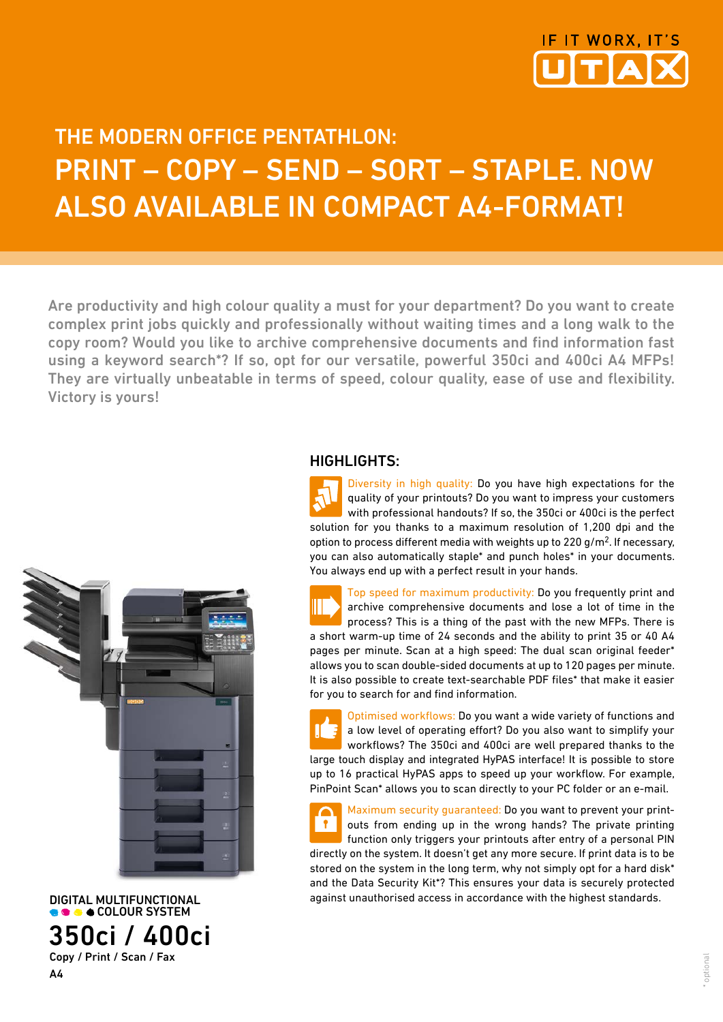

## THE MODERN OFFICE PENTATHLON: Print – Copy – Send – Sort – Staple. Now also available in compact A4-Format!

Are productivity and high colour quality a must for your department? Do you want to create complex print jobs quickly and professionally without waiting times and a long walk to the copy room? Would you like to archive comprehensive documents and find information fast using a keyword search\*? If so, opt for our versatile, powerful 350ci and 400ci A4 MFPs! They are virtually unbeatable in terms of speed, colour quality, ease of use and flexibility. Victory is yours!



DIGITAL MULTIFUNCTIONAL 350ci / 400ci Copy / Print / Scan / Fax

A4

### HIGHLIGHTS:

Diversity in high quality: Do you have high expectations for the quality of your printouts? Do you want to impress your customers with professional handouts? If so, the 350ci or 400ci is the perfect solution for you thanks to a maximum resolution of 1,200 dpi and the option to process different media with weights up to 220 g/m2. If necessary, you can also automatically staple\* and punch holes\* in your documents. You always end up with a perfect result in your hands.

Top speed for maximum productivity: Do you frequently print and archive comprehensive documents and lose a lot of time in the process? This is a thing of the past with the new MFPs. There is a short warm-up time of 24 seconds and the ability to print 35 or 40 A4 pages per minute. Scan at a high speed: The dual scan original feeder\* allows you to scan double-sided documents at up to 120 pages per minute. It is also possible to create text-searchable PDF files\* that make it easier for you to search for and find information.

Optimised workflows: Do you want a wide variety of functions and a low level of operating effort? Do you also want to simplify your workflows? The 350ci and 400ci are well prepared thanks to the large touch display and integrated HyPAS interface! It is possible to store up to 16 practical HyPAS apps to speed up your workflow. For example, PinPoint Scan\* allows you to scan directly to your PC folder or an e-mail.

Maximum security guaranteed: Do you want to prevent your print- $\bullet$ outs from ending up in the wrong hands? The private printing function only triggers your printouts after entry of a personal PIN directly on the system. It doesn't get any more secure. If print data is to be stored on the system in the long term, why not simply opt for a hard disk\* and the Data Security Kit\*? This ensures your data is securely protected against unauthorised access in accordance with the highest standards.